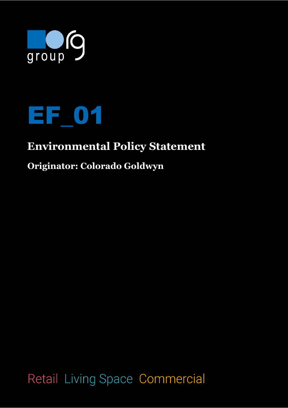



## **Environmental Policy Statement**

## **Originator: Colorado Goldwyn**

Retail Living Space Commercial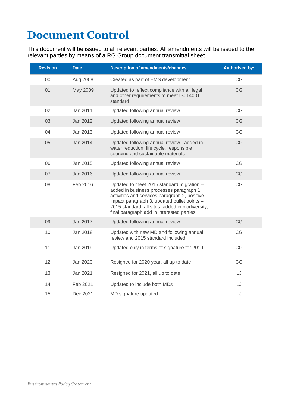## **Document Control**

This document will be issued to all relevant parties. All amendments will be issued to the relevant parties by means of a RG Group document transmittal sheet.

| <b>Revision</b> | <b>Date</b> | <b>Description of amendments/changes</b>                                                                                                                                                                                                                                               | <b>Authorised by:</b> |
|-----------------|-------------|----------------------------------------------------------------------------------------------------------------------------------------------------------------------------------------------------------------------------------------------------------------------------------------|-----------------------|
| $00\,$          | Aug 2008    | Created as part of EMS development                                                                                                                                                                                                                                                     | CG                    |
| 01              | May 2009    | Updated to reflect compliance with all legal<br>and other requirements to meet IS014001<br>standard                                                                                                                                                                                    | CG                    |
| 02              | Jan 2011    | Updated following annual review                                                                                                                                                                                                                                                        | CG                    |
| 03              | Jan 2012    | Updated following annual review                                                                                                                                                                                                                                                        | CG                    |
| 04              | Jan 2013    | Updated following annual review                                                                                                                                                                                                                                                        | CG                    |
| 05              | Jan 2014    | Updated following annual review - added in<br>water reduction, life cycle, responsible<br>sourcing and sustainable materials                                                                                                                                                           | CG                    |
| 06              | Jan 2015    | Updated following annual review                                                                                                                                                                                                                                                        | CG                    |
| 07              | Jan 2016    | Updated following annual review                                                                                                                                                                                                                                                        | CG                    |
| 08              | Feb 2016    | Updated to meet 2015 standard migration -<br>added in business processes paragraph 1,<br>activities and services paragraph 2, positive<br>impact paragraph 3, updated bullet points -<br>2015 standard, all sites, added in biodiversity,<br>final paragraph add in interested parties | CG                    |
| 09              | Jan 2017    | Updated following annual review                                                                                                                                                                                                                                                        | CG                    |
| 10              | Jan 2018    | Updated with new MD and following annual<br>review and 2015 standard included                                                                                                                                                                                                          | CG                    |
| 11              | Jan 2019    | Updated only in terms of signature for 2019                                                                                                                                                                                                                                            | CG                    |
| 12              | Jan 2020    | Resigned for 2020 year, all up to date                                                                                                                                                                                                                                                 | CG                    |
| 13              | Jan 2021    | Resigned for 2021, all up to date                                                                                                                                                                                                                                                      | LJ                    |
| 14              | Feb 2021    | Updated to include both MDs                                                                                                                                                                                                                                                            | LJ                    |
| 15              | Dec 2021    | MD signature updated                                                                                                                                                                                                                                                                   | LJ                    |